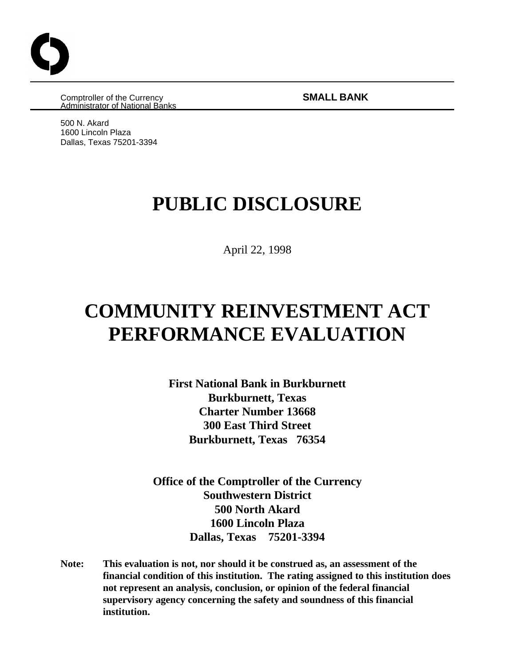Comptroller of the Currency **SMALL BANK** Administrator of National Banks

500 N. Akard 1600 Lincoln Plaza Dallas, Texas 75201-3394

# **PUBLIC DISCLOSURE**

April 22, 1998

# **COMMUNITY REINVESTMENT ACT PERFORMANCE EVALUATION**

**First National Bank in Burkburnett Burkburnett, Texas Charter Number 13668 300 East Third Street Burkburnett, Texas 76354**

**Office of the Comptroller of the Currency Southwestern District 500 North Akard 1600 Lincoln Plaza Dallas, Texas 75201-3394**

**Note: This evaluation is not, nor should it be construed as, an assessment of the financial condition of this institution. The rating assigned to this institution does not represent an analysis, conclusion, or opinion of the federal financial supervisory agency concerning the safety and soundness of this financial institution.**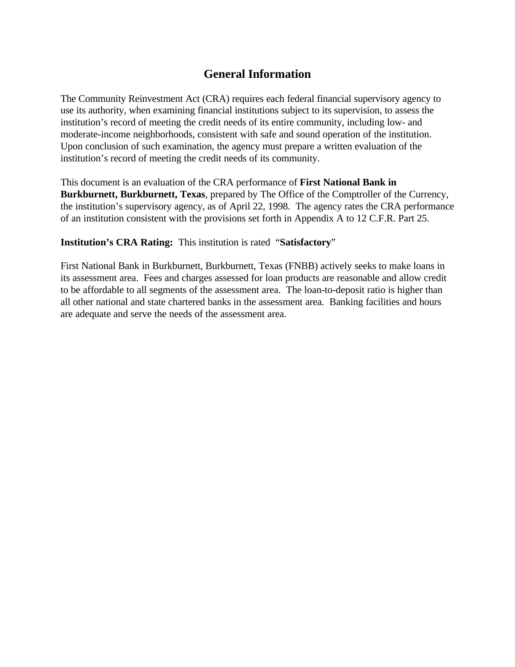# **General Information**

The Community Reinvestment Act (CRA) requires each federal financial supervisory agency to use its authority, when examining financial institutions subject to its supervision, to assess the institution's record of meeting the credit needs of its entire community, including low- and moderate-income neighborhoods, consistent with safe and sound operation of the institution. Upon conclusion of such examination, the agency must prepare a written evaluation of the institution's record of meeting the credit needs of its community.

This document is an evaluation of the CRA performance of **First National Bank in Burkburnett, Burkburnett, Texas**, prepared by The Office of the Comptroller of the Currency, the institution's supervisory agency, as of April 22, 1998. The agency rates the CRA performance of an institution consistent with the provisions set forth in Appendix A to 12 C.F.R. Part 25.

### **Institution's CRA Rating:** This institution is rated "**Satisfactory**"

First National Bank in Burkburnett, Burkburnett, Texas (FNBB) actively seeks to make loans in its assessment area. Fees and charges assessed for loan products are reasonable and allow credit to be affordable to all segments of the assessment area. The loan-to-deposit ratio is higher than all other national and state chartered banks in the assessment area. Banking facilities and hours are adequate and serve the needs of the assessment area.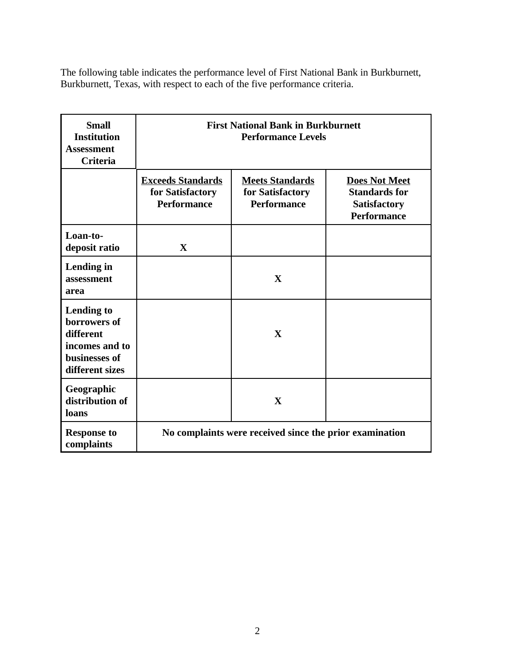The following table indicates the performance level of First National Bank in Burkburnett, Burkburnett, Texas, with respect to each of the five performance criteria.

| <b>Small</b><br><b>Institution</b><br><b>Assessment</b><br><b>Criteria</b>                           | <b>First National Bank in Burkburnett</b><br><b>Performance Levels</b> |                                                                  |                                                                                           |  |
|------------------------------------------------------------------------------------------------------|------------------------------------------------------------------------|------------------------------------------------------------------|-------------------------------------------------------------------------------------------|--|
|                                                                                                      | <b>Exceeds Standards</b><br>for Satisfactory<br><b>Performance</b>     | <b>Meets Standards</b><br>for Satisfactory<br><b>Performance</b> | <b>Does Not Meet</b><br><b>Standards for</b><br><b>Satisfactory</b><br><b>Performance</b> |  |
| Loan-to-<br>deposit ratio                                                                            | X                                                                      |                                                                  |                                                                                           |  |
| Lending in<br>assessment<br>area                                                                     |                                                                        | X                                                                |                                                                                           |  |
| <b>Lending to</b><br>borrowers of<br>different<br>incomes and to<br>businesses of<br>different sizes |                                                                        | $\mathbf{X}$                                                     |                                                                                           |  |
| Geographic<br>distribution of<br>loans                                                               |                                                                        | $\mathbf X$                                                      |                                                                                           |  |
| <b>Response to</b><br>complaints                                                                     | No complaints were received since the prior examination                |                                                                  |                                                                                           |  |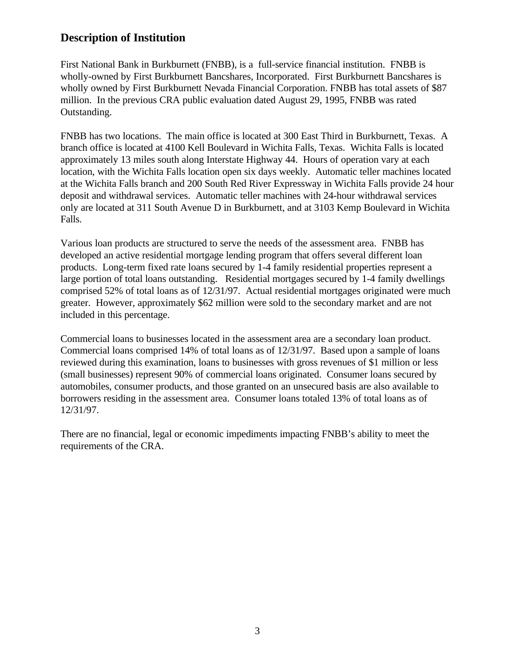## **Description of Institution**

First National Bank in Burkburnett (FNBB), is a full-service financial institution. FNBB is wholly-owned by First Burkburnett Bancshares, Incorporated. First Burkburnett Bancshares is wholly owned by First Burkburnett Nevada Financial Corporation. FNBB has total assets of \$87 million. In the previous CRA public evaluation dated August 29, 1995, FNBB was rated Outstanding.

FNBB has two locations. The main office is located at 300 East Third in Burkburnett, Texas. A branch office is located at 4100 Kell Boulevard in Wichita Falls, Texas. Wichita Falls is located approximately 13 miles south along Interstate Highway 44. Hours of operation vary at each location, with the Wichita Falls location open six days weekly. Automatic teller machines located at the Wichita Falls branch and 200 South Red River Expressway in Wichita Falls provide 24 hour deposit and withdrawal services. Automatic teller machines with 24-hour withdrawal services only are located at 311 South Avenue D in Burkburnett, and at 3103 Kemp Boulevard in Wichita Falls.

Various loan products are structured to serve the needs of the assessment area. FNBB has developed an active residential mortgage lending program that offers several different loan products. Long-term fixed rate loans secured by 1-4 family residential properties represent a large portion of total loans outstanding. Residential mortgages secured by 1-4 family dwellings comprised 52% of total loans as of 12/31/97. Actual residential mortgages originated were much greater. However, approximately \$62 million were sold to the secondary market and are not included in this percentage.

Commercial loans to businesses located in the assessment area are a secondary loan product. Commercial loans comprised 14% of total loans as of 12/31/97. Based upon a sample of loans reviewed during this examination, loans to businesses with gross revenues of \$1 million or less (small businesses) represent 90% of commercial loans originated. Consumer loans secured by automobiles, consumer products, and those granted on an unsecured basis are also available to borrowers residing in the assessment area. Consumer loans totaled 13% of total loans as of 12/31/97.

There are no financial, legal or economic impediments impacting FNBB's ability to meet the requirements of the CRA.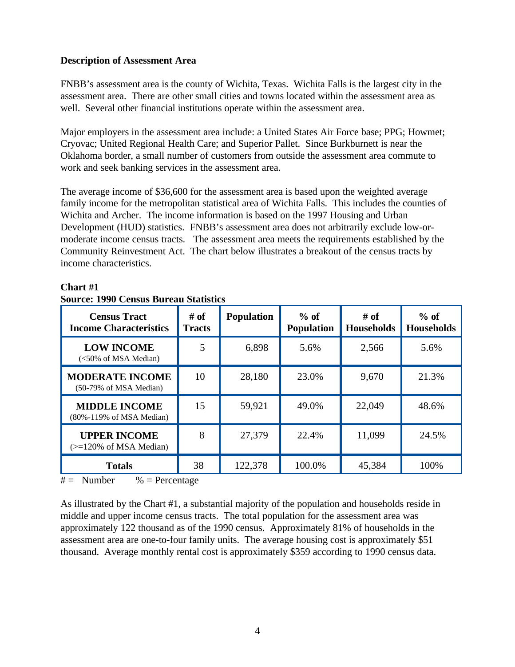#### **Description of Assessment Area**

FNBB's assessment area is the county of Wichita, Texas. Wichita Falls is the largest city in the assessment area. There are other small cities and towns located within the assessment area as well. Several other financial institutions operate within the assessment area.

Major employers in the assessment area include: a United States Air Force base; PPG; Howmet; Cryovac; United Regional Health Care; and Superior Pallet. Since Burkburnett is near the Oklahoma border, a small number of customers from outside the assessment area commute to work and seek banking services in the assessment area.

The average income of \$36,600 for the assessment area is based upon the weighted average family income for the metropolitan statistical area of Wichita Falls. This includes the counties of Wichita and Archer. The income information is based on the 1997 Housing and Urban Development (HUD) statistics. FNBB's assessment area does not arbitrarily exclude low-ormoderate income census tracts. The assessment area meets the requirements established by the Community Reinvestment Act. The chart below illustrates a breakout of the census tracts by income characteristics.

| <b>Census Tract</b><br><b>Income Characteristics</b> | # of<br><b>Tracts</b> | <b>Population</b> | $%$ of<br><b>Population</b> | # of<br><b>Households</b> | $%$ of<br><b>Households</b> |
|------------------------------------------------------|-----------------------|-------------------|-----------------------------|---------------------------|-----------------------------|
| <b>LOW INCOME</b><br>(<50% of MSA Median)            | 5                     | 6,898             | 5.6%                        | 2,566                     | 5.6%                        |
| <b>MODERATE INCOME</b><br>(50-79% of MSA Median)     | 10                    | 28,180            | 23.0%                       | 9,670                     | 21.3%                       |
| <b>MIDDLE INCOME</b><br>(80%-119% of MSA Median)     | 15                    | 59,921            | 49.0%                       | 22,049                    | 48.6%                       |
| <b>UPPER INCOME</b><br>$\approx$ 120% of MSA Median) | 8                     | 27,379            | 22.4%                       | 11,099                    | 24.5%                       |
| <b>Totals</b>                                        | 38                    | 122,378           | 100.0%                      | 45,384                    | 100%                        |

## **Chart #1**

 $#$  = Number % = Percentage

**Source: 1990 Census Bureau Statistics**

As illustrated by the Chart #1, a substantial majority of the population and households reside in middle and upper income census tracts. The total population for the assessment area was approximately 122 thousand as of the 1990 census. Approximately 81% of households in the assessment area are one-to-four family units. The average housing cost is approximately \$51 thousand. Average monthly rental cost is approximately \$359 according to 1990 census data.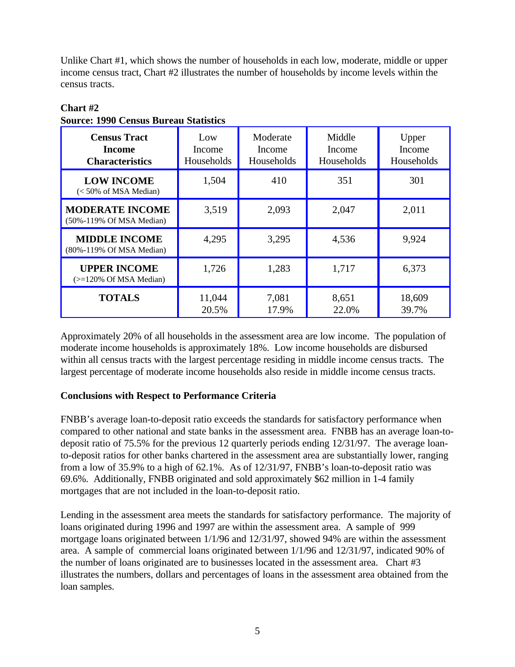Unlike Chart #1, which shows the number of households in each low, moderate, middle or upper income census tract, Chart #2 illustrates the number of households by income levels within the census tracts.

| <b>Census Tract</b><br>Income<br><b>Characteristics</b> | Low<br>Income<br>Households | Moderate<br>Income<br>Households | Middle<br>Income<br>Households | Upper<br>Income<br>Households |
|---------------------------------------------------------|-----------------------------|----------------------------------|--------------------------------|-------------------------------|
| <b>LOW INCOME</b><br>$(< 50\%$ of MSA Median)           | 1,504                       | 410                              | 351                            | 301                           |
| <b>MODERATE INCOME</b><br>(50%-119% Of MSA Median)      | 3,519                       | 2,093                            | 2,047                          | 2,011                         |
| <b>MIDDLE INCOME</b><br>(80%-119% Of MSA Median)        | 4,295                       | 3,295                            | 4,536                          | 9,924                         |
| <b>UPPER INCOME</b><br>$(>=120\%$ Of MSA Median)        | 1,726                       | 1,283                            | 1,717                          | 6,373                         |
| <b>TOTALS</b>                                           | 11,044<br>20.5%             | 7,081<br>17.9%                   | 8,651<br>22.0%                 | 18,609<br>39.7%               |

# **Chart #2 Source: 1990 Census Bureau Statistics**

Approximately 20% of all households in the assessment area are low income. The population of moderate income households is approximately 18%. Low income households are disbursed within all census tracts with the largest percentage residing in middle income census tracts. The largest percentage of moderate income households also reside in middle income census tracts.

## **Conclusions with Respect to Performance Criteria**

FNBB's average loan-to-deposit ratio exceeds the standards for satisfactory performance when compared to other national and state banks in the assessment area. FNBB has an average loan-todeposit ratio of 75.5% for the previous 12 quarterly periods ending 12/31/97. The average loanto-deposit ratios for other banks chartered in the assessment area are substantially lower, ranging from a low of 35.9% to a high of 62.1%. As of 12/31/97, FNBB's loan-to-deposit ratio was 69.6%. Additionally, FNBB originated and sold approximately \$62 million in 1-4 family mortgages that are not included in the loan-to-deposit ratio.

Lending in the assessment area meets the standards for satisfactory performance. The majority of loans originated during 1996 and 1997 are within the assessment area. A sample of 999 mortgage loans originated between 1/1/96 and 12/31/97, showed 94% are within the assessment area. A sample of commercial loans originated between 1/1/96 and 12/31/97, indicated 90% of the number of loans originated are to businesses located in the assessment area. Chart #3 illustrates the numbers, dollars and percentages of loans in the assessment area obtained from the loan samples.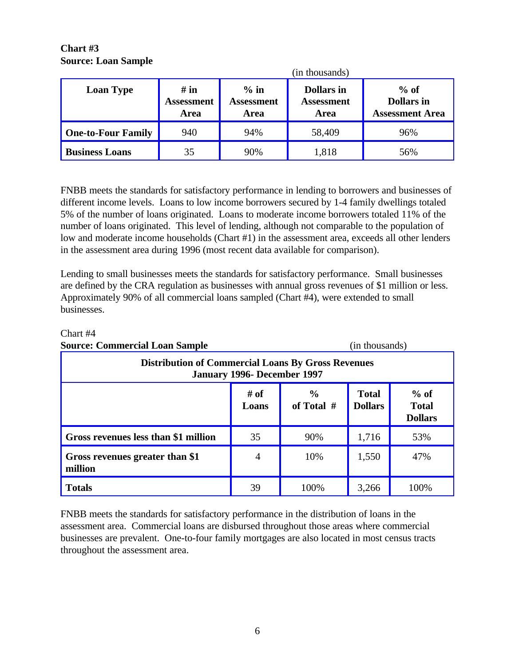### **Chart #3 Source: Loan Sample**

|                           | (in thousands)                           |                              |                                                |                                                       |
|---------------------------|------------------------------------------|------------------------------|------------------------------------------------|-------------------------------------------------------|
| <b>Loan Type</b>          | # in<br><b>Assessment</b><br><b>Area</b> | $%$ in<br>Assessment<br>Area | <b>Dollars in</b><br><b>Assessment</b><br>Area | $%$ of<br><b>Dollars</b> in<br><b>Assessment Area</b> |
| <b>One-to-Four Family</b> | 940                                      | 94%                          | 58,409                                         | 96%                                                   |
| <b>Business Loans</b>     | 35                                       | 90%                          | 1,818                                          | 56%                                                   |

FNBB meets the standards for satisfactory performance in lending to borrowers and businesses of different income levels. Loans to low income borrowers secured by 1-4 family dwellings totaled 5% of the number of loans originated. Loans to moderate income borrowers totaled 11% of the number of loans originated. This level of lending, although not comparable to the population of low and moderate income households (Chart #1) in the assessment area, exceeds all other lenders in the assessment area during 1996 (most recent data available for comparison).

Lending to small businesses meets the standards for satisfactory performance. Small businesses are defined by the CRA regulation as businesses with annual gross revenues of \$1 million or less. Approximately 90% of all commercial loans sampled (Chart #4), were extended to small businesses.

| <b>Source: Commercial Loan Sample</b>                                                    |                |                    |                                | (in thousands)                           |  |
|------------------------------------------------------------------------------------------|----------------|--------------------|--------------------------------|------------------------------------------|--|
| <b>Distribution of Commercial Loans By Gross Revenues</b><br>January 1996- December 1997 |                |                    |                                |                                          |  |
|                                                                                          | # of<br>Loans  | $\%$<br>of Total # | <b>Total</b><br><b>Dollars</b> | $%$ of<br><b>Total</b><br><b>Dollars</b> |  |
| Gross revenues less than \$1 million                                                     | 35             | 90%                | 1,716                          | 53%                                      |  |
| Gross revenues greater than \$1<br>million                                               | $\overline{4}$ | 10%                | 1,550                          | 47%                                      |  |
| <b>Totals</b>                                                                            | 39             | 100%               | 3,266                          | 100%                                     |  |

Chart #4

FNBB meets the standards for satisfactory performance in the distribution of loans in the assessment area. Commercial loans are disbursed throughout those areas where commercial businesses are prevalent. One-to-four family mortgages are also located in most census tracts throughout the assessment area.